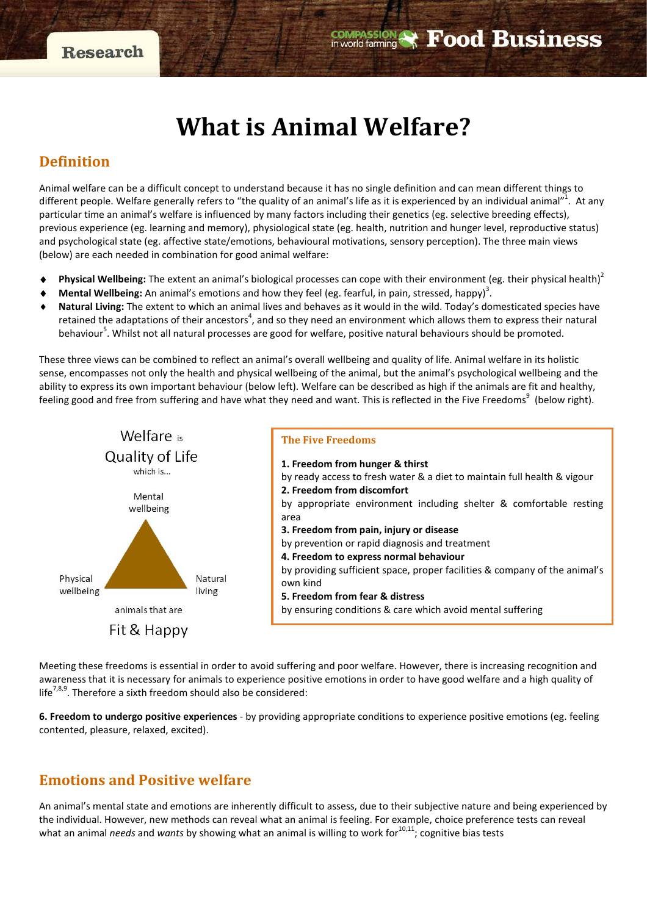# **What is Animal Welfare?**

## **Definition**

Animal welfare can be a difficult concept to understand because it has no single definition and can mean different things to different people. Welfare generally refers to "the quality of an animal's life as it is experienced by an individual animal"<sup>1</sup>. At any particular time an animal's welfare is influenced by many factors including their genetics (eg. selective breeding effects), previous experience (eg. learning and memory), physiological state (eg. health, nutrition and hunger level, reproductive status) and psychological state (eg. affective state/emotions, behavioural motivations, sensory perception). The three main views (below) are each needed in combination for good animal welfare:

- **Physical Wellbeing:** The extent an animal's biological processes can cope with their environment (eg. their physical health)<sup>2</sup>
- ◆ **Mental Wellbeing:** An animal's emotions and how they feel (eg. fearful, in pain, stressed, happy)<sup>3</sup>.
- Natural Living: The extent to which an animal lives and behaves as it would in the wild. Today's domesticated species have retained the adaptations of their ancestors<sup>4</sup>, and so they need an environment which allows them to express their natural behaviour<sup>5</sup>. Whilst not all natural processes are good for welfare, positive natural behaviours should be promoted.

These three views can be combined to reflect an animal's overall wellbeing and quality of life. Animal welfare in its holistic sense, encompasses not only the health and physical wellbeing of the animal, but the animal's psychological wellbeing and the ability to express its own important behaviour (below left). Welfare can be described as high if the animals are fit and healthy, feeling good and free from suffering and have what they need and want. This is reflected in the Five Freedoms<sup>9</sup> (below right).



Meeting these freedoms is essential in order to avoid suffering and poor welfare. However, there is increasing recognition and awareness that it is necessary for animals to experience positive emotions in order to have good welfare and a high quality of life<sup>7,8,9</sup>. Therefore a sixth freedom should also be considered:

**6. Freedom to undergo positive experiences** - by providing appropriate conditions to experience positive emotions (eg. feeling contented, pleasure, relaxed, excited).

# **Emotions and Positive welfare**

An animal's mental state and emotions are inherently difficult to assess, due to their subjective nature and being experienced by the individual. However, new methods can reveal what an animal is feeling. For example, choice preference tests can reveal what an animal *needs* and *wants* by showing what an animal is willing to work for<sup>10,11</sup>; cognitive bias tests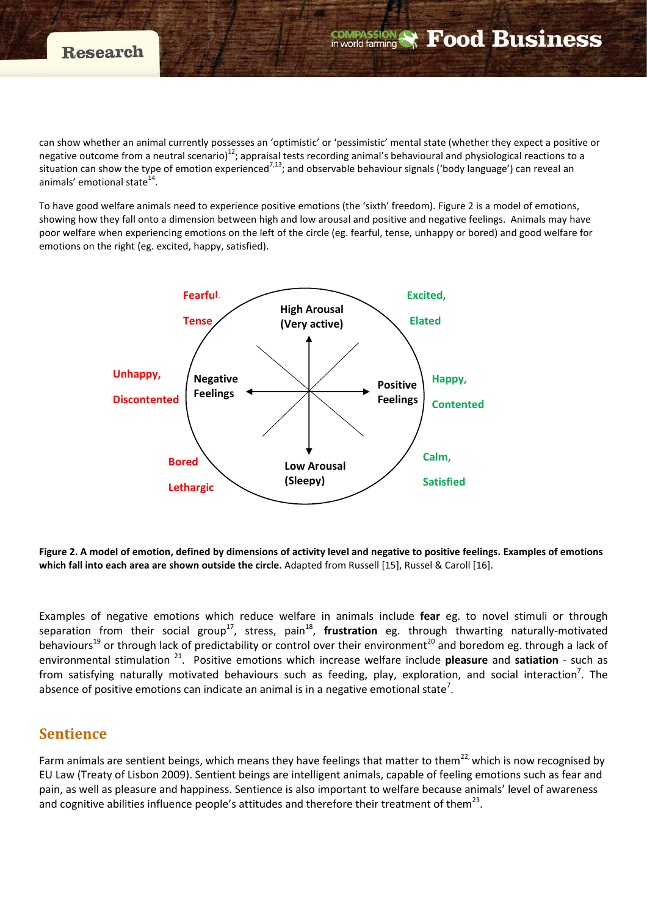can show whether an animal currently possesses an 'optimistic' or 'pessimistic' mental state (whether they expect a positive or negative outcome from a neutral scenario)<sup>12</sup>; appraisal tests recording animal's behavioural and physiological reactions to a situation can show the type of emotion experienced<sup>7,13</sup>; and observable behaviour signals ('body language') can reveal an animals' emotional state $1$ <sup>-</sup>

**COMPASSION** 

**Food Business** 

To have good welfare animals need to experience positive emotions (the 'sixth' freedom). Figure 2 is a model of emotions, showing how they fall onto a dimension between high and low arousal and positive and negative feelings. Animals may have poor welfare when experiencing emotions on the left of the circle (eg. fearful, tense, unhappy or bored) and good welfare for emotions on the right (eg. excited, happy, satisfied).



**Figure 2. A model of emotion, defined by dimensions of activity level and negative to positive feelings. Examples of emotions which fall into each area are shown outside the circle.** Adapted from Russell [15], Russel & Caroll [16].

Examples of negative emotions which reduce welfare in animals include **fear** eg. to novel stimuli or through separation from their social group<sup>17</sup>, stress, pain<sup>18</sup>, frustration eg. through thwarting naturally-motivated behaviours<sup>19</sup> or through lack of predictability or control over their environment<sup>20</sup> and boredom eg. through a lack of environmental stimulation 21. Positive emotions which increase welfare include **pleasure** and **satiation** - such as from satisfying naturally motivated behaviours such as feeding, play, exploration, and social interaction<sup>7</sup>. The absence of positive emotions can indicate an animal is in a negative emotional state<sup>7</sup>.

## **Sentience**

Farm animals are sentient beings, which means they have feelings that matter to them<sup>22,</sup> which is now recognised by EU Law (Treaty of Lisbon 2009). Sentient beings are intelligent animals, capable of feeling emotions such as fear and pain, as well as pleasure and happiness. Sentience is also important to welfare because animals' level of awareness and cognitive abilities influence people's attitudes and therefore their treatment of them<sup>23</sup>.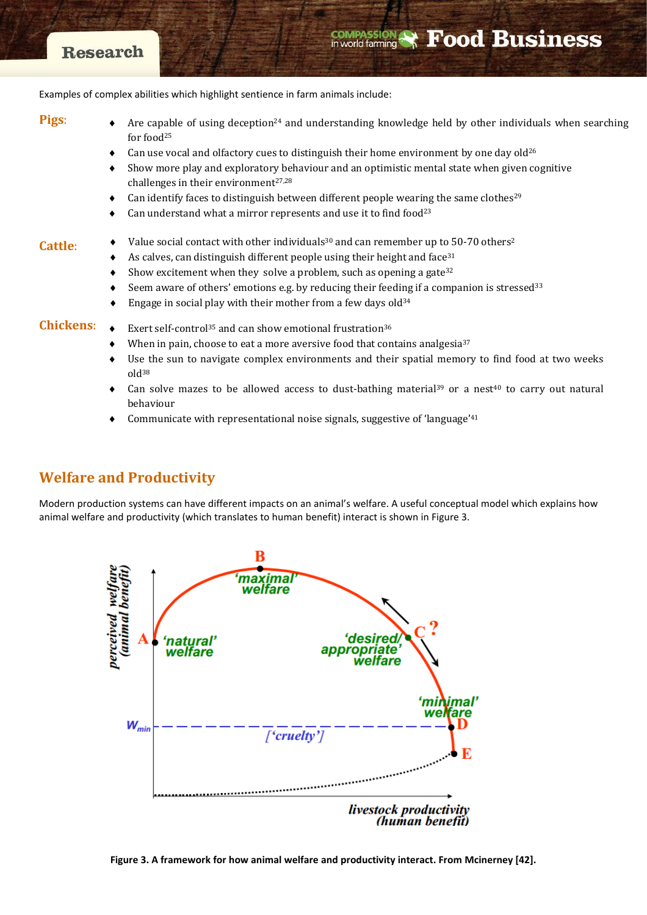# **Research**

### **COMPASSION Food Business**

Examples of complex abilities which highlight sentience in farm animals include:

**Pigs**:

Are capable of using deception<sup>24</sup> and understanding knowledge held by other individuals when searching for food25

- Can use vocal and olfactory cues to distinguish their home environment by one day old<sup>26</sup>
- Show more play and exploratory behaviour and an optimistic mental state when given cognitive challenges in their environment $27,28$
- Can identify faces to distinguish between different people wearing the same clothes<sup>29</sup>
- Can understand what a mirror represents and use it to find food<sup>23</sup>

#### **Cattle**:

- Value social contact with other individuals<sup>30</sup> and can remember up to 50-70 others<sup>2</sup>
	- As calves, can distinguish different people using their height and face  $31$
	- Show excitement when they solve a problem, such as opening a gate<sup>32</sup>
	- Seem aware of others' emotions e.g. by reducing their feeding if a companion is stressed $33$
	- Engage in social play with their mother from a few days  $old^{34}$

**Chickens**:

- Exert self-control<sup>35</sup> and can show emotional frustration<sup>36</sup>
	- When in pain, choose to eat a more aversive food that contains analgesia $37$
	- Use the sun to navigate complex environments and their spatial memory to find food at two weeks old38
	- Can solve mazes to be allowed access to dust-bathing material<sup>39</sup> or a nest<sup>40</sup> to carry out natural behaviour
	- Communicate with representational noise signals, suggestive of 'language'<sup>41</sup>

# **Welfare and Productivity**

Modern production systems can have different impacts on an animal's welfare. A useful conceptual model which explains how animal welfare and productivity (which translates to human benefit) interact is shown in Figure 3.